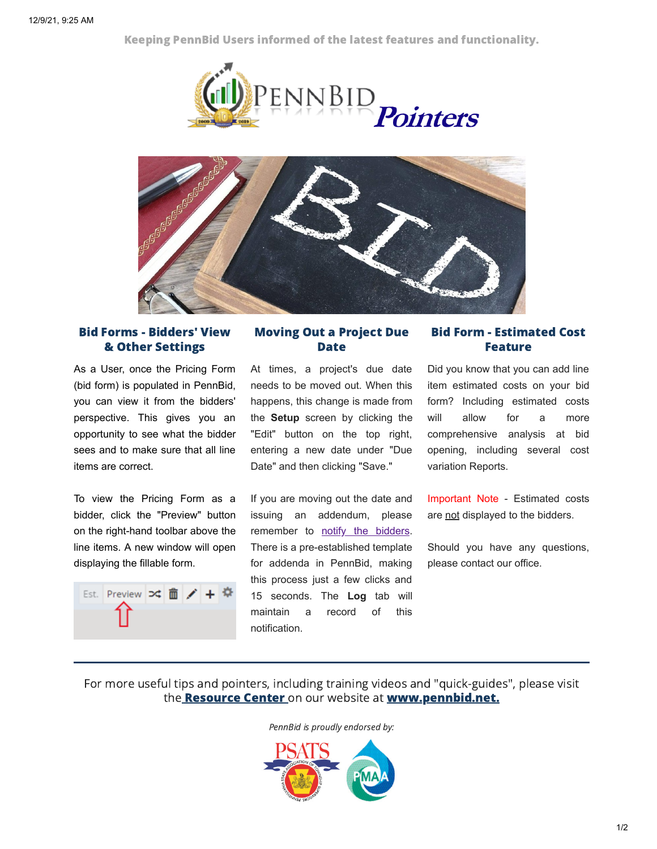Keeping PennBid Users informed of the latest features and functionality.





## Bid Forms - Bidders' View & Other Settings

As a User, once the Pricing Form (bid form) is populated in PennBid, you can view it from the bidders' perspective. This gives you an opportunity to see what the bidder sees and to make sure that all line items are correct.

To view the Pricing Form as a bidder, click the "Preview" button on the right-hand toolbar above the line items. A new window will open displaying the fillable form.



## Moving Out a Project Due Date

At times, a project's due date needs to be moved out. When this happens, this change is made from the **Setup** screen by clicking the "Edit" button on the top right, entering a new date under "Due Date" and then clicking "Save."

If you are moving out the date and issuing an addendum, please remember to notify the bidders. There is a pre-established template for addenda in PennBid, making this process just a few clicks and 15 seconds. The **Log** tab will maintain a record of this notification.

## Bid Form - Estimated Cost Feature

Did you know that you can add line item estimated costs on your bid form? Including estimated costs will allow for a more comprehensive analysis at bid opening, including several cost variation Reports.

Important Note - Estimated costs are not displayed to the bidders.

Should you have any questions, please contact our office.

For more useful tips and pointers, including training videos and "quick-guides", please visit the **Resource Center** on our website at **www.pennbid.net.** 

PennBid is proudly endorsed by: